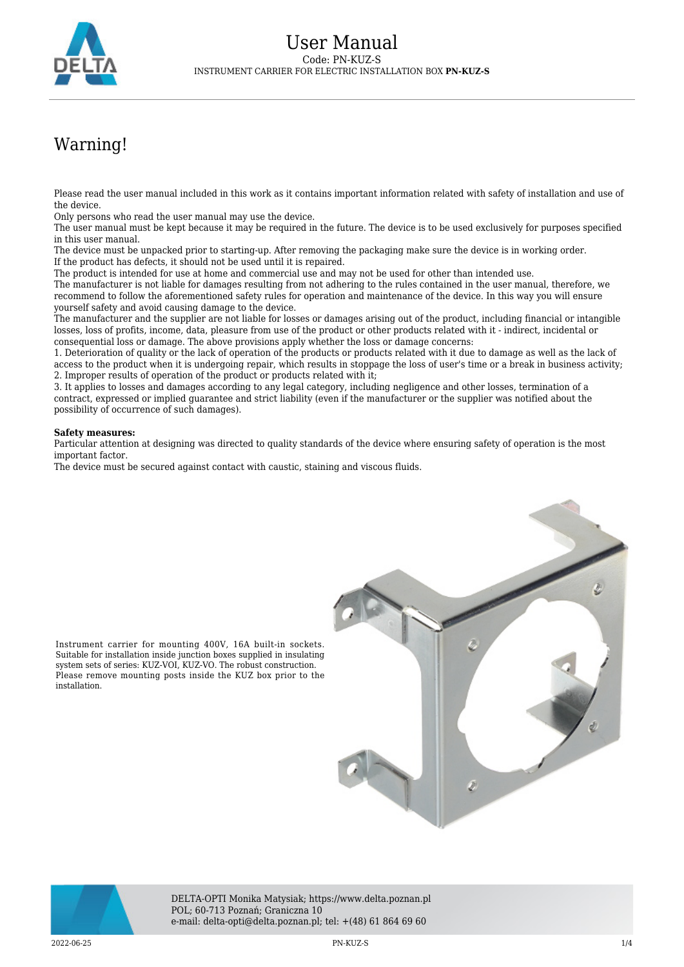

## Warning!

Please read the user manual included in this work as it contains important information related with safety of installation and use of the device.

Only persons who read the user manual may use the device.

The user manual must be kept because it may be required in the future. The device is to be used exclusively for purposes specified in this user manual.

The device must be unpacked prior to starting-up. After removing the packaging make sure the device is in working order. If the product has defects, it should not be used until it is repaired.

The product is intended for use at home and commercial use and may not be used for other than intended use.

The manufacturer is not liable for damages resulting from not adhering to the rules contained in the user manual, therefore, we recommend to follow the aforementioned safety rules for operation and maintenance of the device. In this way you will ensure yourself safety and avoid causing damage to the device.

The manufacturer and the supplier are not liable for losses or damages arising out of the product, including financial or intangible losses, loss of profits, income, data, pleasure from use of the product or other products related with it - indirect, incidental or consequential loss or damage. The above provisions apply whether the loss or damage concerns:

1. Deterioration of quality or the lack of operation of the products or products related with it due to damage as well as the lack of access to the product when it is undergoing repair, which results in stoppage the loss of user's time or a break in business activity; 2. Improper results of operation of the product or products related with it;

3. It applies to losses and damages according to any legal category, including negligence and other losses, termination of a contract, expressed or implied guarantee and strict liability (even if the manufacturer or the supplier was notified about the possibility of occurrence of such damages).

## **Safety measures:**

Particular attention at designing was directed to quality standards of the device where ensuring safety of operation is the most important factor.

The device must be secured against contact with caustic, staining and viscous fluids.





DELTA-OPTI Monika Matysiak; https://www.delta.poznan.pl POL; 60-713 Poznań; Graniczna 10 e-mail: delta-opti@delta.poznan.pl; tel: +(48) 61 864 69 60

2022-06-25 PN-KUZ-S 1/4

installation.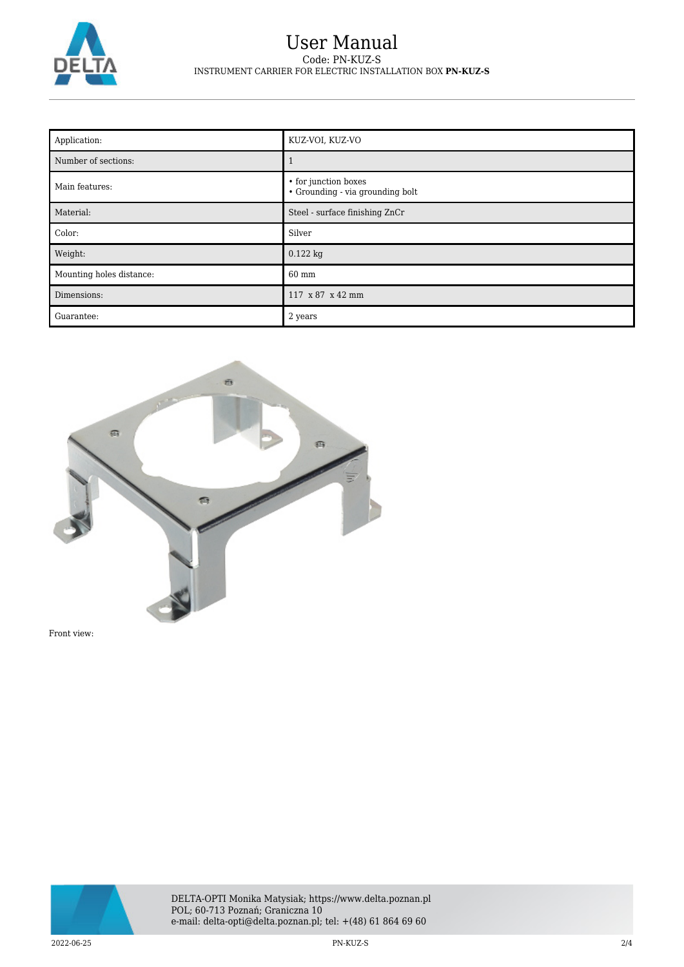

## User Manual Code: PN-KUZ-S INSTRUMENT CARRIER FOR ELECTRIC INSTALLATION BOX **PN-KUZ-S**

| Application:             | KUZ-VOI, KUZ-VO                                          |
|--------------------------|----------------------------------------------------------|
| Number of sections:      |                                                          |
| Main features:           | • for junction boxes<br>• Grounding - via grounding bolt |
| Material:                | Steel - surface finishing ZnCr                           |
| Color:                   | Silver                                                   |
| Weight:                  | $0.122$ kg                                               |
| Mounting holes distance: | 60 mm                                                    |
| Dimensions:              | 117 x 87 x 42 mm                                         |
| Guarantee:               | 2 years                                                  |



Front view:

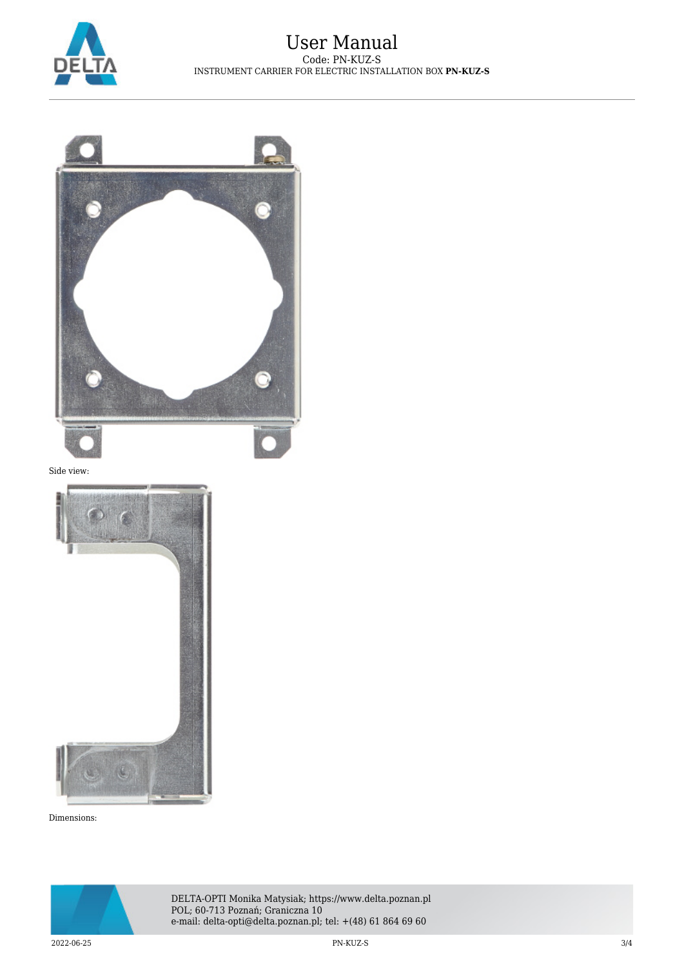



Dimensions: